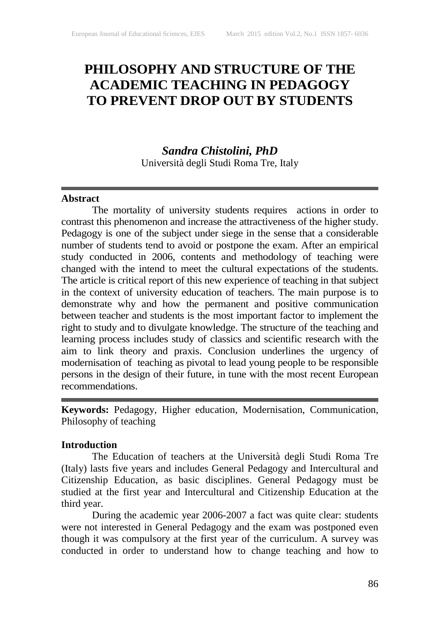# **PHILOSOPHY AND STRUCTURE OF THE ACADEMIC TEACHING IN PEDAGOGY TO PREVENT DROP OUT BY STUDENTS**

## *Sandra Chistolini, PhD*

Università degli Studi Roma Tre, Italy

#### **Abstract**

The mortality of university students requires actions in order to contrast this phenomenon and increase the attractiveness of the higher study. Pedagogy is one of the subject under siege in the sense that a considerable number of students tend to avoid or postpone the exam. After an empirical study conducted in 2006, contents and methodology of teaching were changed with the intend to meet the cultural expectations of the students. The article is critical report of this new experience of teaching in that subject in the context of university education of teachers. The main purpose is to demonstrate why and how the permanent and positive communication between teacher and students is the most important factor to implement the right to study and to divulgate knowledge. The structure of the teaching and learning process includes study of classics and scientific research with the aim to link theory and praxis. Conclusion underlines the urgency of modernisation of teaching as pivotal to lead young people to be responsible persons in the design of their future, in tune with the most recent European recommendations.

**Keywords:** Pedagogy, Higher education, Modernisation, Communication, Philosophy of teaching

#### **Introduction**

The Education of teachers at the Università degli Studi Roma Tre (Italy) lasts five years and includes General Pedagogy and Intercultural and Citizenship Education, as basic disciplines. General Pedagogy must be studied at the first year and Intercultural and Citizenship Education at the third year.

During the academic year 2006-2007 a fact was quite clear: students were not interested in General Pedagogy and the exam was postponed even though it was compulsory at the first year of the curriculum. A survey was conducted in order to understand how to change teaching and how to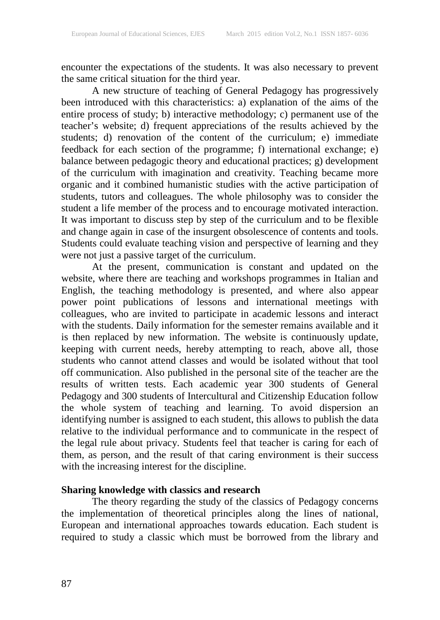encounter the expectations of the students. It was also necessary to prevent the same critical situation for the third year.

A new structure of teaching of General Pedagogy has progressively been introduced with this characteristics: a) explanation of the aims of the entire process of study; b) interactive methodology; c) permanent use of the teacher's website; d) frequent appreciations of the results achieved by the students; d) renovation of the content of the curriculum; e) immediate feedback for each section of the programme; f) international exchange; e) balance between pedagogic theory and educational practices; g) development of the curriculum with imagination and creativity. Teaching became more organic and it combined humanistic studies with the active participation of students, tutors and colleagues. The whole philosophy was to consider the student a life member of the process and to encourage motivated interaction. It was important to discuss step by step of the curriculum and to be flexible and change again in case of the insurgent obsolescence of contents and tools. Students could evaluate teaching vision and perspective of learning and they were not just a passive target of the curriculum.

At the present, communication is constant and updated on the website, where there are teaching and workshops programmes in Italian and English, the teaching methodology is presented, and where also appear power point publications of lessons and international meetings with colleagues, who are invited to participate in academic lessons and interact with the students. Daily information for the semester remains available and it is then replaced by new information. The website is continuously update, keeping with current needs, hereby attempting to reach, above all, those students who cannot attend classes and would be isolated without that tool off communication. Also published in the personal site of the teacher are the results of written tests. Each academic year 300 students of General Pedagogy and 300 students of Intercultural and Citizenship Education follow the whole system of teaching and learning. To avoid dispersion an identifying number is assigned to each student, this allows to publish the data relative to the individual performance and to communicate in the respect of the legal rule about privacy. Students feel that teacher is caring for each of them, as person, and the result of that caring environment is their success with the increasing interest for the discipline.

#### **Sharing knowledge with classics and research**

The theory regarding the study of the classics of Pedagogy concerns the implementation of theoretical principles along the lines of national, European and international approaches towards education. Each student is required to study a classic which must be borrowed from the library and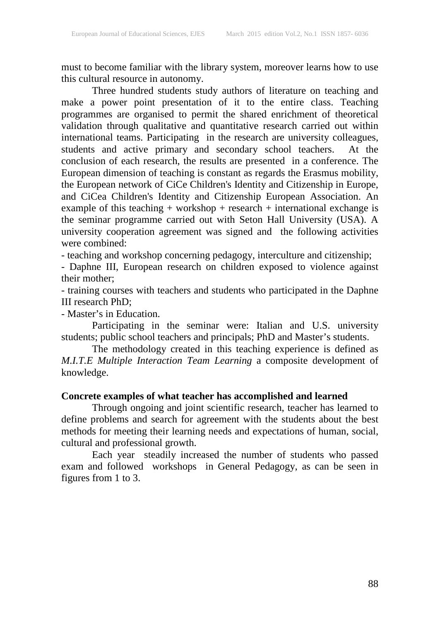must to become familiar with the library system, moreover learns how to use this cultural resource in autonomy.

Three hundred students study authors of literature on teaching and make a power point presentation of it to the entire class. Teaching programmes are organised to permit the shared enrichment of theoretical validation through qualitative and quantitative research carried out within international teams. Participating in the research are university colleagues, students and active primary and secondary school teachers. At the conclusion of each research, the results are presented in a conference. The European dimension of teaching is constant as regards the Erasmus mobility, the European network of CiCe Children's Identity and Citizenship in Europe, and CiCea Children's Identity and Citizenship European Association. An example of this teaching + workshop + research + international exchange is the seminar programme carried out with Seton Hall University (USA). A university cooperation agreement was signed and the following activities were combined:

- teaching and workshop concerning pedagogy, interculture and citizenship;

- Daphne III, European research on children exposed to violence against their mother;

- training courses with teachers and students who participated in the Daphne III research PhD;

- Master's in Education.

Participating in the seminar were: Italian and U.S. university students; public school teachers and principals; PhD and Master's students.

The methodology created in this teaching experience is defined as *M.I.T.E Multiple Interaction Team Learning* a composite development of knowledge.

## **Concrete examples of what teacher has accomplished and learned**

Through ongoing and joint scientific research, teacher has learned to define problems and search for agreement with the students about the best methods for meeting their learning needs and expectations of human, social, cultural and professional growth.

Each year steadily increased the number of students who passed exam and followed workshops in General Pedagogy, as can be seen in figures from 1 to 3.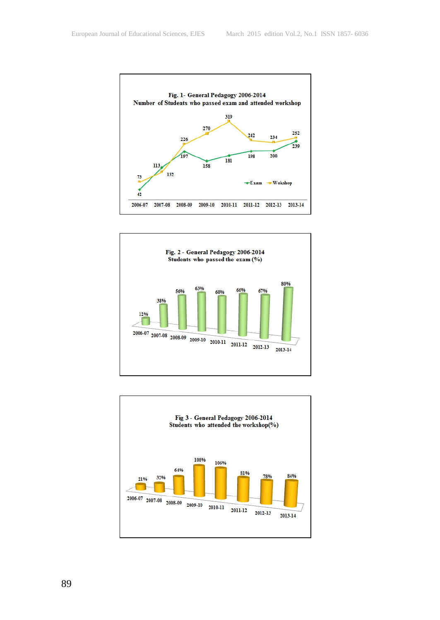



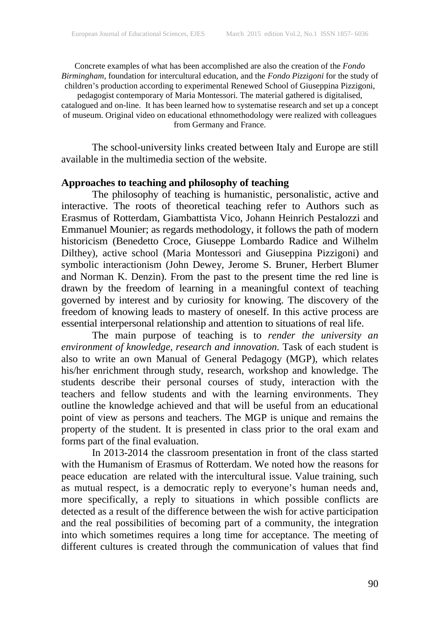Concrete examples of what has been accomplished are also the creation of the *Fondo Birmingham*, foundation for intercultural education, and the *Fondo Pizzigoni* for the study of children's production according to experimental Renewed School of Giuseppina Pizzigoni, pedagogist contemporary of Maria Montessori. The material gathered is digitalised,

catalogued and on-line. It has been learned how to systematise research and set up a concept of museum. Original video on educational ethnomethodology were realized with colleagues from Germany and France.

The school-university links created between Italy and Europe are still available in the multimedia section of the website.

#### **Approaches to teaching and philosophy of teaching**

The philosophy of teaching is humanistic, personalistic, active and interactive. The roots of theoretical teaching refer to Authors such as Erasmus of Rotterdam, Giambattista Vico, Johann Heinrich Pestalozzi and Emmanuel Mounier; as regards methodology, it follows the path of modern historicism (Benedetto Croce, Giuseppe Lombardo Radice and Wilhelm Dilthey), active school (Maria Montessori and Giuseppina Pizzigoni) and symbolic interactionism (John Dewey, Jerome S. Bruner, Herbert Blumer and Norman K. Denzin). From the past to the present time the red line is drawn by the freedom of learning in a meaningful context of teaching governed by interest and by curiosity for knowing. The discovery of the freedom of knowing leads to mastery of oneself. In this active process are essential interpersonal relationship and attention to situations of real life.

The main purpose of teaching is to *render the university an environment of knowledge, research and innovation.* Task of each student is also to write an own Manual of General Pedagogy (MGP), which relates his/her enrichment through study, research, workshop and knowledge. The students describe their personal courses of study, interaction with the teachers and fellow students and with the learning environments. They outline the knowledge achieved and that will be useful from an educational point of view as persons and teachers. The MGP is unique and remains the property of the student. It is presented in class prior to the oral exam and forms part of the final evaluation.

In 2013-2014 the classroom presentation in front of the class started with the Humanism of Erasmus of Rotterdam. We noted how the reasons for peace education are related with the intercultural issue. Value training, such as mutual respect, is a democratic reply to everyone's human needs and, more specifically, a reply to situations in which possible conflicts are detected as a result of the difference between the wish for active participation and the real possibilities of becoming part of a community, the integration into which sometimes requires a long time for acceptance. The meeting of different cultures is created through the communication of values that find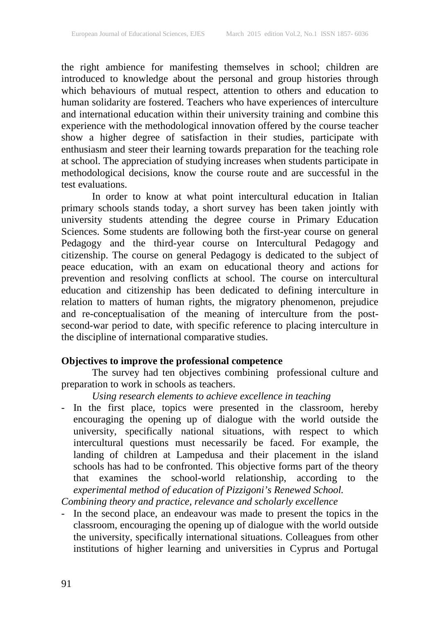the right ambience for manifesting themselves in school; children are introduced to knowledge about the personal and group histories through which behaviours of mutual respect, attention to others and education to human solidarity are fostered. Teachers who have experiences of interculture and international education within their university training and combine this experience with the methodological innovation offered by the course teacher show a higher degree of satisfaction in their studies, participate with enthusiasm and steer their learning towards preparation for the teaching role at school. The appreciation of studying increases when students participate in methodological decisions, know the course route and are successful in the test evaluations.

In order to know at what point intercultural education in Italian primary schools stands today, a short survey has been taken jointly with university students attending the degree course in Primary Education Sciences. Some students are following both the first-year course on general Pedagogy and the third-year course on Intercultural Pedagogy and citizenship. The course on general Pedagogy is dedicated to the subject of peace education, with an exam on educational theory and actions for prevention and resolving conflicts at school. The course on intercultural education and citizenship has been dedicated to defining interculture in relation to matters of human rights, the migratory phenomenon, prejudice and re-conceptualisation of the meaning of interculture from the postsecond-war period to date, with specific reference to placing interculture in the discipline of international comparative studies.

## **Objectives to improve the professional competence**

The survey had ten objectives combining professional culture and preparation to work in schools as teachers.

*Using research elements to achieve excellence in teaching*

- In the first place, topics were presented in the classroom, hereby encouraging the opening up of dialogue with the world outside the university, specifically national situations, with respect to which intercultural questions must necessarily be faced. For example, the landing of children at Lampedusa and their placement in the island schools has had to be confronted. This objective forms part of the theory that examines the school-world relationship, according to the *experimental method of education of Pizzigoni's Renewed School. Combining theory and practice, relevance and scholarly excellence*
- In the second place, an endeavour was made to present the topics in the classroom, encouraging the opening up of dialogue with the world outside the university, specifically international situations. Colleagues from other institutions of higher learning and universities in Cyprus and Portugal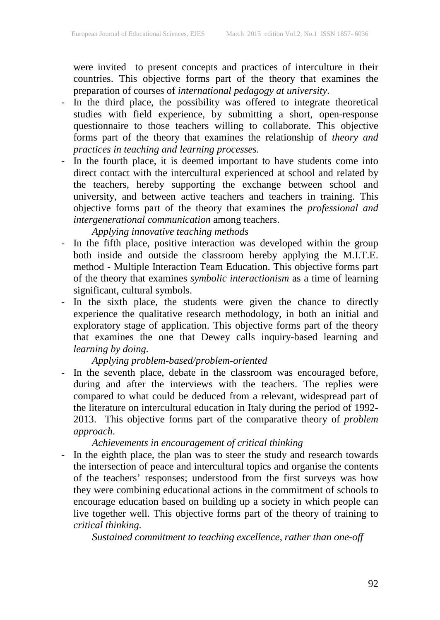were invited to present concepts and practices of interculture in their countries. This objective forms part of the theory that examines the preparation of courses of *international pedagogy at university*.

- In the third place, the possibility was offered to integrate theoretical studies with field experience, by submitting a short, open-response questionnaire to those teachers willing to collaborate. This objective forms part of the theory that examines the relationship of *theory and practices in teaching and learning processes.*
- In the fourth place, it is deemed important to have students come into direct contact with the intercultural experienced at school and related by the teachers, hereby supporting the exchange between school and university, and between active teachers and teachers in training. This objective forms part of the theory that examines the *professional and intergenerational communication* among teachers.

# *Applying innovative teaching methods*

- In the fifth place, positive interaction was developed within the group both inside and outside the classroom hereby applying the M.I.T.E. method - Multiple Interaction Team Education. This objective forms part of the theory that examines *symbolic interactionism* as a time of learning significant, cultural symbols.
- In the sixth place, the students were given the chance to directly experience the qualitative research methodology, in both an initial and exploratory stage of application. This objective forms part of the theory that examines the one that Dewey calls inquiry-based learning and *learning by doing.*

# *Applying problem-based/problem-oriented*

- In the seventh place, debate in the classroom was encouraged before, during and after the interviews with the teachers. The replies were compared to what could be deduced from a relevant, widespread part of the literature on intercultural education in Italy during the period of 1992- 2013. This objective forms part of the comparative theory of *problem approach*.

### *Achievements in encouragement of critical thinking*

- In the eighth place, the plan was to steer the study and research towards the intersection of peace and intercultural topics and organise the contents of the teachers' responses; understood from the first surveys was how they were combining educational actions in the commitment of schools to encourage education based on building up a society in which people can live together well. This objective forms part of the theory of training to *critical thinking.*

*Sustained commitment to teaching excellence, rather than one-off*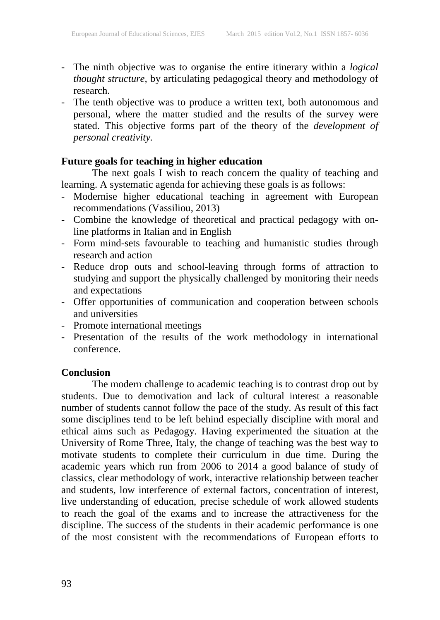- The ninth objective was to organise the entire itinerary within a *logical thought structure,* by articulating pedagogical theory and methodology of research.
- The tenth objective was to produce a written text, both autonomous and personal, where the matter studied and the results of the survey were stated. This objective forms part of the theory of the *development of personal creativity.*

## **Future goals for teaching in higher education**

The next goals I wish to reach concern the quality of teaching and learning. A systematic agenda for achieving these goals is as follows:

- Modernise higher educational teaching in agreement with European recommendations (Vassiliou, 2013)
- Combine the knowledge of theoretical and practical pedagogy with online platforms in Italian and in English
- Form mind-sets favourable to teaching and humanistic studies through research and action
- Reduce drop outs and school-leaving through forms of attraction to studying and support the physically challenged by monitoring their needs and expectations
- Offer opportunities of communication and cooperation between schools and universities
- Promote international meetings
- Presentation of the results of the work methodology in international conference.

#### **Conclusion**

The modern challenge to academic teaching is to contrast drop out by students. Due to demotivation and lack of cultural interest a reasonable number of students cannot follow the pace of the study. As result of this fact some disciplines tend to be left behind especially discipline with moral and ethical aims such as Pedagogy. Having experimented the situation at the University of Rome Three, Italy, the change of teaching was the best way to motivate students to complete their curriculum in due time. During the academic years which run from 2006 to 2014 a good balance of study of classics, clear methodology of work, interactive relationship between teacher and students, low interference of external factors, concentration of interest, live understanding of education, precise schedule of work allowed students to reach the goal of the exams and to increase the attractiveness for the discipline. The success of the students in their academic performance is one of the most consistent with the recommendations of European efforts to